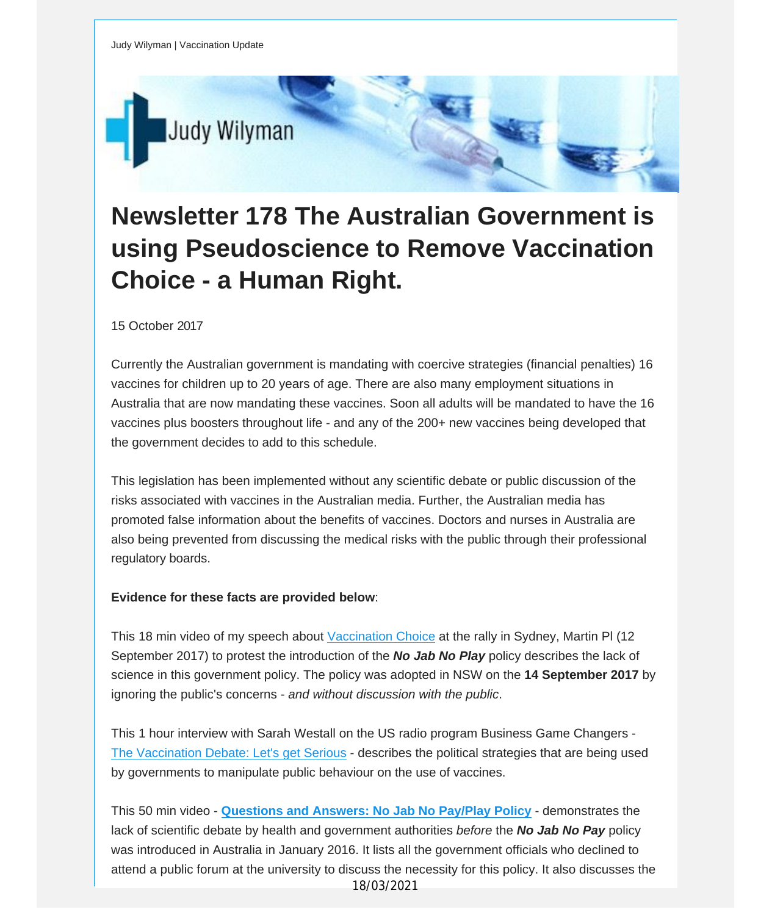

## **Newsletter 178 The Australian Government is using Pseudoscience to Remove Vaccination Choice - a Human Right.**

## 15 October 2017

Currently the Australian government is mandating with coercive strategies (financial penalties) 16 vaccines for children up to 20 years of age. There are also many employment situations in Australia that are now mandating these vaccines. Soon all adults will be mandated to have the 16 vaccines plus boosters throughout life - and any of the 200+ new vaccines being developed that the government decides to add to this schedule.

This legislation has been implemented without any scientific debate or public discussion of the risks associated with vaccines in the Australian media. Further, the Australian media has promoted false information about the benefits of vaccines. Doctors and nurses in Australia are also being prevented from discussing the medical risks with the public through their professional regulatory boards.

## **Evidence for these facts are provided below**:

This 18 min video of my speech about [Vaccination](https://vaccinationdecisions.us8.list-manage.com/track/click?u=f20605fde3732e41929f4a3f2&id=b36c48b744&e=fec8337d3c) Choice at the rally in Sydney, Martin Pl (12 September 2017) to protest the introduction of the *No Jab No Play* policy describes the lack of science in this government policy. The policy was adopted in NSW on the **14 September 2017** by ignoring the public's concerns - *and without discussion with the public*.

This 1 hour interview with Sarah Westall on the US radio program Business Game Changers - The [Vaccination](https://vaccinationdecisions.us8.list-manage.com/track/click?u=f20605fde3732e41929f4a3f2&id=15db30507f&e=fec8337d3c) Debate: Let's get Serious - describes the political strategies that are being used by governments to manipulate public behaviour on the use of vaccines.

This 50 min video - **[Questions](https://vaccinationdecisions.us8.list-manage.com/track/click?u=f20605fde3732e41929f4a3f2&id=96085b96fb&e=fec8337d3c) and Answers: No Jab No Pay/Play Policy** - demonstrates the lack of scientific debate by health and government authorities *before* the *No Jab No Pay* policy was introduced in Australia in January 2016. It lists all the government officials who declined to attend a public forum at the university to discuss the necessity for this policy. It also discusses the 18/03/2021